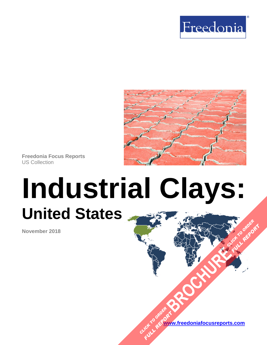



**Freedonia Focus Reports** US Collection

# **Industrial Clays: United States [BROCHURE](https://www.freedoniafocusreports.com/Industrial-Clays-United-States-FF65039/?progid=89541) CLICK TO ORDER**

**November 2018**

**[www.freedoniafocusreports.com](https://www.freedoniafocusreports.com/redirect.asp?progid=89534&url=/)** CLICK TO ORDER **FULL REPORT** 

**FULL REPORT**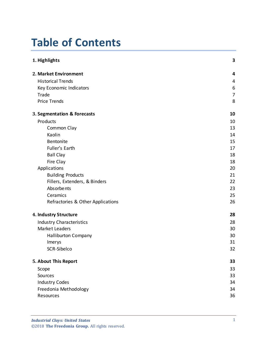# **Table of Contents**

| 1. Highlights                     | 3              |
|-----------------------------------|----------------|
| 2. Market Environment             | 4              |
| <b>Historical Trends</b>          | 4              |
| Key Economic Indicators           | 6              |
| Trade                             | $\overline{7}$ |
| <b>Price Trends</b>               | 8              |
| 3. Segmentation & Forecasts       | 10             |
| Products                          | 10             |
| Common Clay                       | 13             |
| Kaolin                            | 14             |
| Bentonite                         | 15             |
| Fuller's Earth                    | 17             |
| <b>Ball Clay</b>                  | 18             |
| Fire Clay                         | 18             |
| Applications                      | 20             |
| <b>Building Products</b>          | 21             |
| Fillers, Extenders, & Binders     | 22             |
| Absorbents                        | 23             |
| Ceramics                          | 25             |
| Refractories & Other Applications | 26             |
| 4. Industry Structure             | 28             |
| <b>Industry Characteristics</b>   | 28             |
| Market Leaders                    | 30             |
| <b>Halliburton Company</b>        | 30             |
| Imerys                            | 31             |
| SCR-Sibelco                       | 32             |
| 5. About This Report              | 33             |
| Scope                             | 33             |
| Sources                           | 33             |
| <b>Industry Codes</b>             | 34             |
| Freedonia Methodology             | 34             |
| Resources                         | 36             |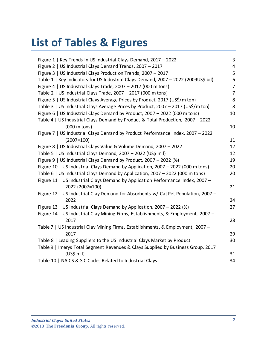# **List of Tables & Figures**

| Figure 1   Key Trends in US Industrial Clays Demand, 2017 - 2022                    | 3                       |
|-------------------------------------------------------------------------------------|-------------------------|
| Figure 2   US Industrial Clays Demand Trends, 2007 - 2017                           | $\overline{\mathbf{4}}$ |
| Figure 3   US Industrial Clays Production Trends, 2007 - 2017                       | 5                       |
| Table 1   Key Indicators for US Industrial Clays Demand, 2007 - 2022 (2009US\$ bil) | 6                       |
| Figure 4   US Industrial Clays Trade, 2007 - 2017 (000 m tons)                      | 7                       |
| Table 2   US Industrial Clays Trade, 2007 - 2017 (000 m tons)                       | 7                       |
| Figure 5   US Industrial Clays Average Prices by Product, 2017 (US\$/m ton)         | 8                       |
| Table 3   US Industrial Clays Average Prices by Product, 2007 - 2017 (US\$/m ton)   | 8                       |
| Figure 6   US Industrial Clays Demand by Product, 2007 - 2022 (000 m tons)          | 10                      |
| Table 4   US Industrial Clays Demand by Product & Total Production, 2007 - 2022     |                         |
| $(000 \text{ m tons})$                                                              | 10                      |
| Figure 7   US Industrial Clays Demand by Product Performance Index, 2007 - 2022     |                         |
| $(2007=100)$                                                                        | 11                      |
| Figure 8   US Industrial Clays Value & Volume Demand, 2007 - 2022                   | 12                      |
| Table 5   US Industrial Clays Demand, 2007 - 2022 (US\$ mil)                        | 12                      |
| Figure 9   US Industrial Clays Demand by Product, 2007 - 2022 (%)                   | 19                      |
| Figure 10   US Industrial Clays Demand by Application, 2007 - 2022 (000 m tons)     | 20                      |
| Table 6   US Industrial Clays Demand by Application, 2007 - 2022 (000 m tons)       | 20                      |
| Figure 11   US Industrial Clays Demand by Application Performance Index, 2007 -     |                         |
| 2022 (2007=100)                                                                     | 21                      |
| Figure 12   US Industrial Clay Demand for Absorbents w/ Cat Pet Population, 2007 -  |                         |
| 2022                                                                                | 24                      |
| Figure 13   US Industrial Clays Demand by Application, 2007 - 2022 (%)              | 27                      |
| Figure 14   US Industrial Clay Mining Firms, Establishments, & Employment, 2007 -   |                         |
| 2017                                                                                | 28                      |
| Table 7   US Industrial Clay Mining Firms, Establishments, & Employment, 2007 -     |                         |
| 2017                                                                                | 29                      |
| Table 8   Leading Suppliers to the US Industrial Clays Market by Product            | 30                      |
| Table 9   Imerys Total Segment Revenues & Clays Supplied by Business Group, 2017    |                         |
| (US\$ mil)                                                                          | 31                      |
| Table 10   NAICS & SIC Codes Related to Industrial Clays                            | 34                      |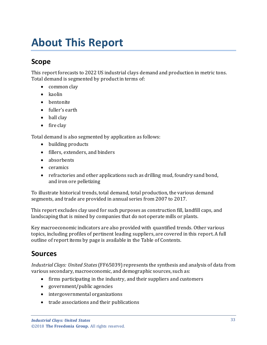# <span id="page-3-0"></span>**About This Report**

## <span id="page-3-1"></span>**Scope**

This report forecasts to 2022 US industrial clays demand and production in metric tons. Total demand is segmented by product in terms of:

- common clav
- kaolin
- bentonite
- fuller's earth
- ball clay
- fire clay

Total demand is also segmented by application as follows:

- building products
- fillers, extenders, and binders
- absorbents
- ceramics
- refractories and other applications such as drilling mud, foundry sand bond, and iron ore pelletizing

To illustrate historical trends, total demand, total production, the various demand segments, and trade are provided in annual series from 2007 to 2017.

This report excludes clay used for such purposes as construction fill, landfill caps, and landscaping that is mined by companies that do not operate mills or plants.

Key macroeconomic indicators are also provided with quantified trends. Other various topics, including profiles of pertinent leading suppliers, are covered in this report. A full outline of report items by page is available in the Table of Contents.

## <span id="page-3-2"></span>**Sources**

*Industrial Clays: United States*(FF65039) represents the synthesis and analysis of data from various secondary, macroeconomic, and demographic sources, such as:

- firms participating in the industry, and their suppliers and customers
- government/public agencies
- intergovernmental organizations
- trade associations and their publications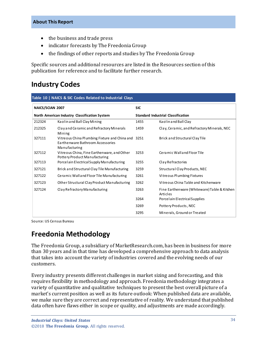#### **About This Report**

- the business and trade press
- indicator forecasts by The Freedonia Group
- the findings of other reports and studies by The Freedonia Group

Specific sources and additional resources are listed in the Resources section of this publication for reference and to facilitate further research.

# <span id="page-4-0"></span>**Industry Codes**

<span id="page-4-2"></span>

| NAICS/SCIAN 2007                              |                                                                                                         | <b>SIC</b>                                |                                                          |
|-----------------------------------------------|---------------------------------------------------------------------------------------------------------|-------------------------------------------|----------------------------------------------------------|
| North American Industry Classification System |                                                                                                         | <b>Standard Industrial Classification</b> |                                                          |
| 212324                                        | Kaolin and Ball Clay Mining                                                                             | 1455                                      | Kaolin and Ball Clay                                     |
| 212325                                        | Clay and Ceramic and Refractory Minerals<br>Mining                                                      | 1459                                      | Clay, Ceramic, and Refractory Minerals, NEC              |
| 327111                                        | Vitreous China Plumbing Fixture and China and 3251<br>Earthenware Bathroom Accessories<br>Manufacturing |                                           | Brick and Structural Clay Tile                           |
| 327112                                        | Vitreous China, Fine Earthenware, and Other<br>Pottery Product Manufacturing                            | 3253                                      | Ceramic Walland Floor Tile                               |
| 327113                                        | Porcelain Electrical Supply Manufacturing                                                               | 3255                                      | Clay Refractories                                        |
| 327121                                        | Brick and Structural Clay Tile Manufacturing                                                            | 3259                                      | Structural Clay Products, NEC                            |
| 327122                                        | Ceramic Walland Floor Tile Manufacturing                                                                | 3261                                      | Vitreous Plumbing Fixtures                               |
| 327123                                        | Other Structural Clay Product Manufacturing                                                             | 3262                                      | Vitre ous China Table and Kitchenware                    |
| Clay Refractory Manufacturing<br>327124       |                                                                                                         | 3263                                      | Fine Earthenware (Whiteware) Table & Kitchen<br>Articles |
|                                               |                                                                                                         | 3264                                      | Porcelain Electrical Supplies                            |
|                                               |                                                                                                         | 3269                                      | Pottery Products, NEC                                    |
|                                               |                                                                                                         | 3295                                      | Minerals, Ground or Treated                              |

Source: US Census Bureau

## <span id="page-4-1"></span>**Freedonia Methodology**

The Freedonia Group, a subsidiary of MarketResearch.com, has been in business for more than 30 years and in that time has developed a comprehensive approach to data analysis that takes into account the variety of industries covered and the evolving needs of our customers.

Every industry presents different challenges in market sizing and forecasting, and this requires flexibility in methodology and approach. Freedonia methodology integrates a variety of quantitative and qualitative techniques to present the best overall picture of a market's current position as well as its future outlook: When published data are available, we make sure they are correct and representative of reality. We understand that published data often have flaws either in scope or quality, and adjustments are made accordingly.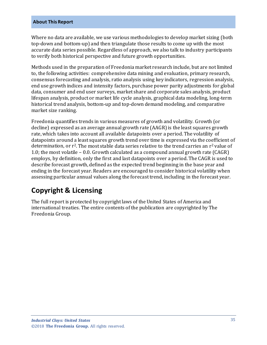#### **About This Report**

Where no data are available, we use various methodologies to develop market sizing (both top-down and bottom-up) and then triangulate those results to come up with the most accurate data series possible. Regardless of approach, we also talk to industry participants to verify both historical perspective and future growth opportunities.

Methods used in the preparation of Freedonia market research include, but are not limited to, the following activities: comprehensive data mining and evaluation, primary research, consensus forecasting and analysis, ratio analysis using key indicators, regression analysis, end use growth indices and intensity factors, purchase power parity adjustments for global data, consumer and end user surveys, market share and corporate sales analysis, product lifespan analysis, product or market life cycle analysis, graphical data modeling, long-term historical trend analysis, bottom-up and top-down demand modeling, and comparative market size ranking.

Freedonia quantifies trends in various measures of growth and volatility. Growth (or decline) expressed as an average annual growth rate (AAGR) is the least squares growth rate, which takes into account all available datapoints over a period. The volatility of datapoints around a least squares growth trend over time is expressed via the coefficient of determination, or  $r^2$ . The most stable data series relative to the trend carries an  $r^2$  value of 1.0; the most volatile – 0.0. Growth calculated as a compound annual growth rate (CAGR) employs, by definition, only the first and last datapoints over a period. The CAGR is used to describe forecast growth, defined as the expected trend beginning in the base year and ending in the forecast year. Readers are encouraged to consider historical volatility when assessing particular annual values along the forecast trend, including in the forecast year.

# **Copyright & Licensing**

The full report is protected by copyright laws of the United States of America and international treaties. The entire contents of the publication are copyrighted by The Freedonia Group.